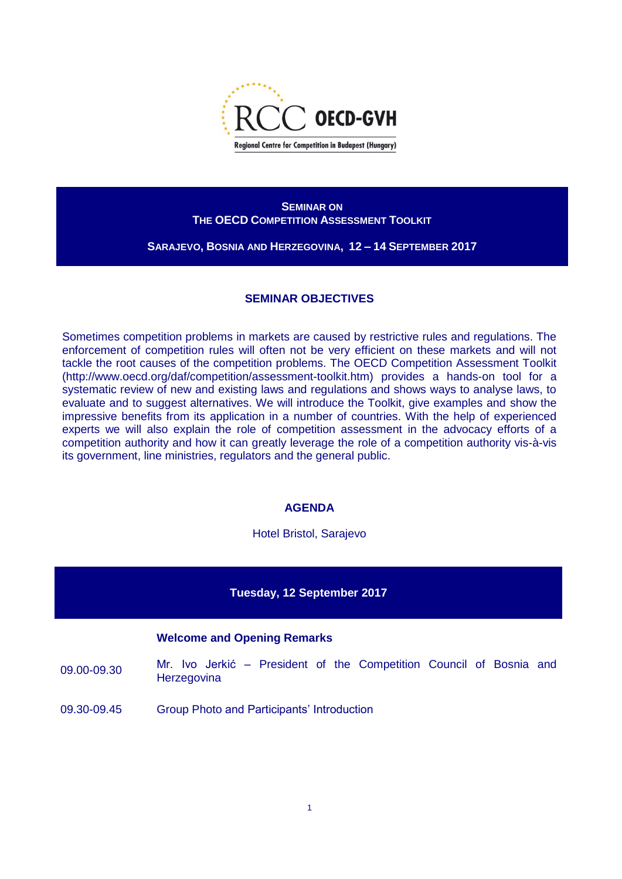

## **SEMINAR ON THE OECD COMPETITION ASSESSMENT TOOLKIT**

**SARAJEVO, BOSNIA AND HERZEGOVINA, 12 – 14 SEPTEMBER 2017**

# **SEMINAR OBJECTIVES**

Sometimes competition problems in markets are caused by restrictive rules and regulations. The enforcement of competition rules will often not be very efficient on these markets and will not tackle the root causes of the competition problems. The OECD Competition Assessment Toolkit [\(http://www.oecd.org/daf/competition/assessment-toolkit.htm\)](http://www.oecd.org/daf/competition/assessment-toolkit.htm) provides a hands-on tool for a systematic review of new and existing laws and regulations and shows ways to analyse laws, to evaluate and to suggest alternatives. We will introduce the Toolkit, give examples and show the impressive benefits from its application in a number of countries. With the help of experienced experts we will also explain the role of competition assessment in the advocacy efforts of a competition authority and how it can greatly leverage the role of a competition authority vis-à-vis its government, line ministries, regulators and the general public.

## **AGENDA**

Hotel Bristol, Sarajevo

#### **Tuesday, 12 September 2017**

#### **Welcome and Opening Remarks**

09.00-09.30 Mr. Ivo Jerkić – President of the Competition Council of Bosnia and **Herzegovina** 

09.30-09.45 Group Photo and Participants' Introduction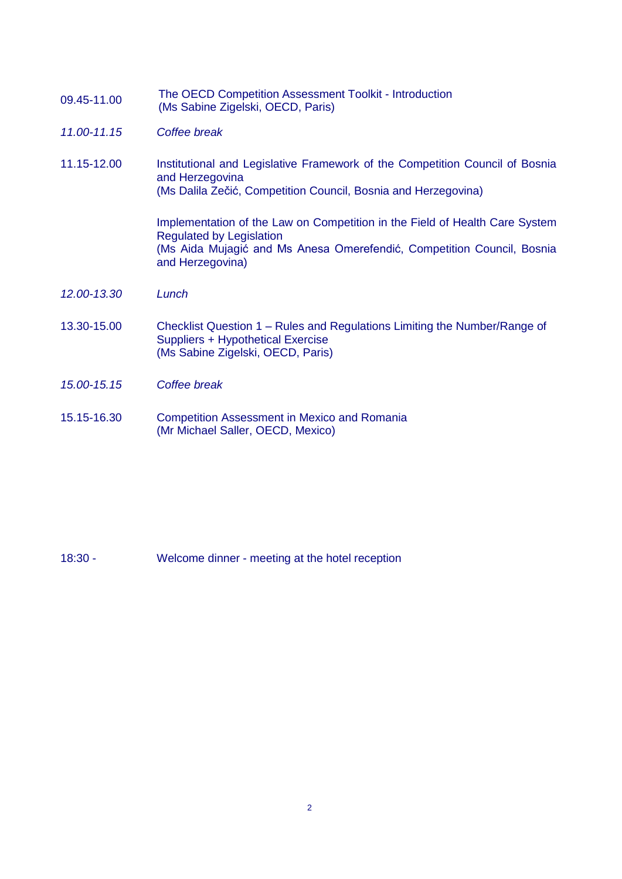| 09.45-11.00 | The OECD Competition Assessment Toolkit - Introduction |
|-------------|--------------------------------------------------------|
|             | (Ms Sabine Zigelski, OECD, Paris)                      |

- *11.00-11.15 Coffee break*
- 11.15-12.00 Institutional and Legislative Framework of the Competition Council of Bosnia and Herzegovina (Ms Dalila Zečić, Competition Council, Bosnia and Herzegovina)

Implementation of the Law on Competition in the Field of Health Care System Regulated by Legislation (Ms Aida Mujagić and Ms Anesa Omerefendić, Competition Council, Bosnia and Herzegovina)

- *12.00-13.30 Lunch*
- 13.30-15.00 Checklist Question 1 Rules and Regulations Limiting the Number/Range of Suppliers + Hypothetical Exercise (Ms Sabine Zigelski, OECD, Paris)
- *15.00-15.15 Coffee break*
- 15.15-16.30 Competition Assessment in Mexico and Romania (Mr Michael Saller, OECD, Mexico)

18:30 - Welcome dinner - meeting at the hotel reception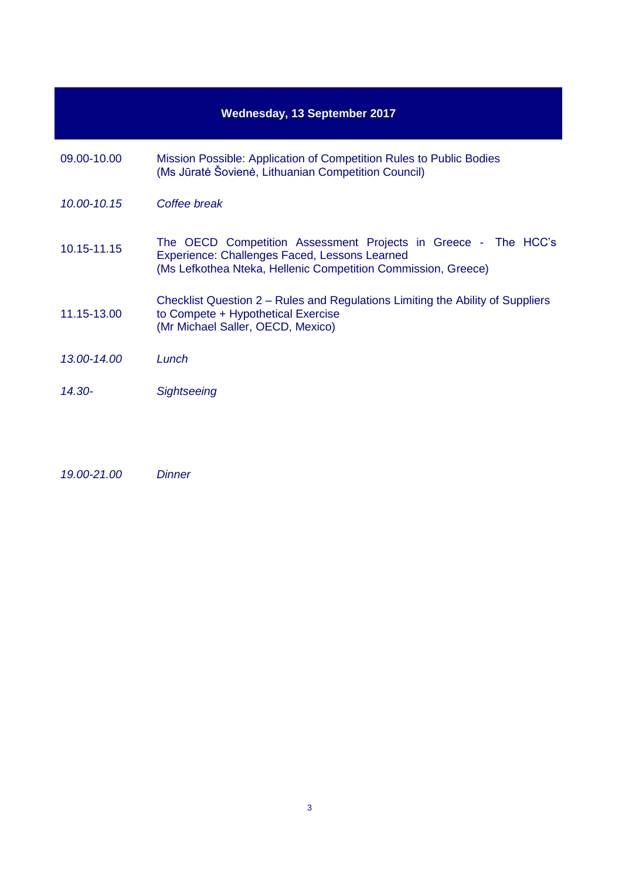| <b>Wednesday, 13 September 2017</b> |                                                                                                                                                                                  |  |
|-------------------------------------|----------------------------------------------------------------------------------------------------------------------------------------------------------------------------------|--|
| 09.00-10.00                         | Mission Possible: Application of Competition Rules to Public Bodies<br>(Ms Jūratė Šovienė, Lithuanian Competition Council)                                                       |  |
| 10.00-10.15                         | Coffee break                                                                                                                                                                     |  |
| 10.15-11.15                         | The OECD Competition Assessment Projects in Greece - The HCC's<br>Experience: Challenges Faced, Lessons Learned<br>(Ms Lefkothea Nteka, Hellenic Competition Commission, Greece) |  |
| 11.15-13.00                         | Checklist Question 2 – Rules and Regulations Limiting the Ability of Suppliers<br>to Compete + Hypothetical Exercise<br>(Mr Michael Saller, OECD, Mexico)                        |  |
| 13.00-14.00                         | Lunch                                                                                                                                                                            |  |
| $14.30 -$                           | <b>Sightseeing</b>                                                                                                                                                               |  |

*19.00-21.00 Dinner*